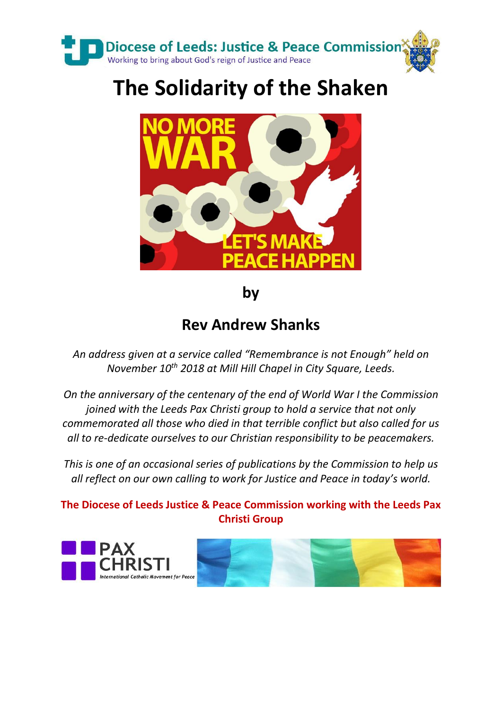

## **The Solidarity of the Shaken**



**by**

## **Rev Andrew Shanks**

*An address given at a service called "Remembrance is not Enough" held on November 10th 2018 at Mill Hill Chapel in City Square, Leeds.*

*On the anniversary of the centenary of the end of World War I the Commission joined with the Leeds Pax Christi group to hold a service that not only commemorated all those who died in that terrible conflict but also called for us all to re-dedicate ourselves to our Christian responsibility to be peacemakers.*

*This is one of an occasional series of publications by the Commission to help us all reflect on our own calling to work for Justice and Peace in today's world.*

**The Diocese of Leeds Justice & Peace Commission working with the Leeds Pax Christi Group**

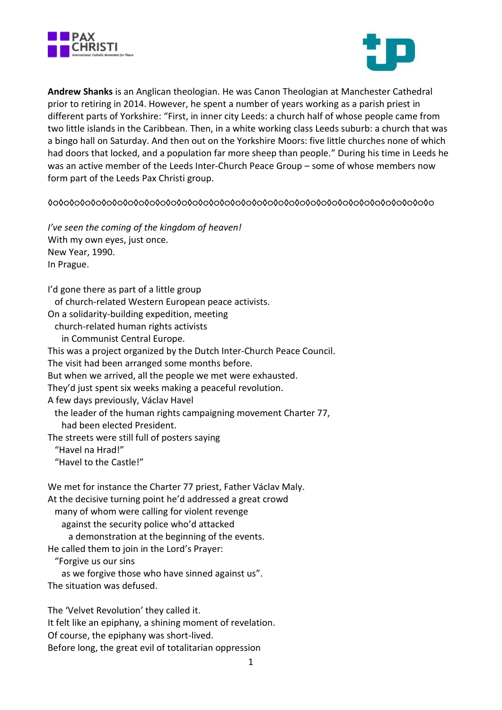



**Andrew Shanks** is an Anglican theologian. He was Canon Theologian at Manchester Cathedral prior to retiring in 2014. However, he spent a number of years working as a parish priest in different parts of Yorkshire: "First, in inner city Leeds: a church half of whose people came from two little islands in the Caribbean. Then, in a white working class Leeds suburb: a church that was a bingo hall on Saturday. And then out on the Yorkshire Moors: five little churches none of which had doors that locked, and a population far more sheep than people." During his time in Leeds he was an active member of the Leeds Inter-Church Peace Group – some of whose members now form part of the Leeds Pax Christi group.

◊○◊○◊○◊○◊○◊○◊○◊○◊○◊○◊○◊○◊○◊○◊○◊○◊○◊○◊○◊○◊○◊○◊○◊○◊○◊○◊○◊○◊○◊○◊○◊○◊○◊○◊○◊○

*I've seen the coming of the kingdom of heaven!* With my own eyes, just once. New Year, 1990. In Prague.

I'd gone there as part of a little group of church-related Western European peace activists. On a solidarity-building expedition, meeting church-related human rights activists in Communist Central Europe. This was a project organized by the Dutch Inter-Church Peace Council. The visit had been arranged some months before. But when we arrived, all the people we met were exhausted. They'd just spent six weeks making a peaceful revolution. A few days previously, Václav Havel the leader of the human rights campaigning movement Charter 77, had been elected President. The streets were still full of posters saying "Havel na Hrad!" "Havel to the Castle!" We met for instance the Charter 77 priest, Father Václav Maly.

At the decisive turning point he'd addressed a great crowd many of whom were calling for violent revenge against the security police who'd attacked a demonstration at the beginning of the events. He called them to join in the Lord's Prayer: "Forgive us our sins

 as we forgive those who have sinned against us". The situation was defused.

The 'Velvet Revolution' they called it. It felt like an epiphany, a shining moment of revelation. Of course, the epiphany was short-lived. Before long, the great evil of totalitarian oppression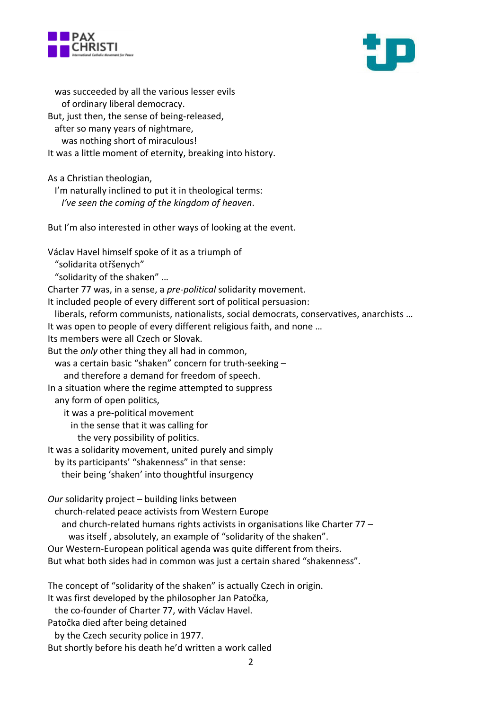



 was succeeded by all the various lesser evils of ordinary liberal democracy. But, just then, the sense of being-released, after so many years of nightmare, was nothing short of miraculous! It was a little moment of eternity, breaking into history. As a Christian theologian, I'm naturally inclined to put it in theological terms: *I've seen the coming of the kingdom of heaven*. But I'm also interested in other ways of looking at the event. Václav Havel himself spoke of it as a triumph of "solidarita otřšenych" "solidarity of the shaken" … Charter 77 was, in a sense, a *pre-political* solidarity movement. It included people of every different sort of political persuasion: liberals, reform communists, nationalists, social democrats, conservatives, anarchists … It was open to people of every different religious faith, and none … Its members were all Czech or Slovak. But the *only* other thing they all had in common, was a certain basic "shaken" concern for truth-seeking – and therefore a demand for freedom of speech. In a situation where the regime attempted to suppress any form of open politics, it was a pre-political movement in the sense that it was calling for the very possibility of politics. It was a solidarity movement, united purely and simply by its participants' "shakenness" in that sense: their being 'shaken' into thoughtful insurgency *Our* solidarity project – building links between church-related peace activists from Western Europe and church-related humans rights activists in organisations like Charter 77 – was itself , absolutely, an example of "solidarity of the shaken". Our Western-European political agenda was quite different from theirs. But what both sides had in common was just a certain shared "shakenness". The concept of "solidarity of the shaken" is actually Czech in origin. It was first developed by the philosopher Jan Patočka, the co-founder of Charter 77, with Václav Havel.

Patočka died after being detained

by the Czech security police in 1977.

But shortly before his death he'd written a work called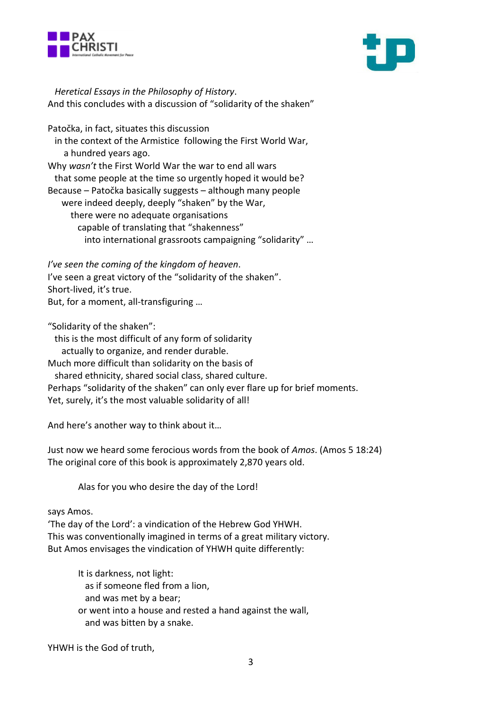



 *Heretical Essays in the Philosophy of History*. And this concludes with a discussion of "solidarity of the shaken"

Patočka, in fact, situates this discussion in the context of the Armistice following the First World War, a hundred years ago. Why *wasn't* the First World War the war to end all wars that some people at the time so urgently hoped it would be? Because – Patočka basically suggests – although many people were indeed deeply, deeply "shaken" by the War, there were no adequate organisations capable of translating that "shakenness" into international grassroots campaigning "solidarity" …

*I've seen the coming of the kingdom of heaven*. I've seen a great victory of the "solidarity of the shaken". Short-lived, it's true. But, for a moment, all-transfiguring …

"Solidarity of the shaken":

 this is the most difficult of any form of solidarity actually to organize, and render durable. Much more difficult than solidarity on the basis of shared ethnicity, shared social class, shared culture. Perhaps "solidarity of the shaken" can only ever flare up for brief moments. Yet, surely, it's the most valuable solidarity of all!

And here's another way to think about it…

Just now we heard some ferocious words from the book of *Amos*. (Amos 5 18:24) The original core of this book is approximately 2,870 years old.

Alas for you who desire the day of the Lord!

says Amos.

'The day of the Lord': a vindication of the Hebrew God YHWH. This was conventionally imagined in terms of a great military victory. But Amos envisages the vindication of YHWH quite differently:

> It is darkness, not light: as if someone fled from a lion, and was met by a bear; or went into a house and rested a hand against the wall, and was bitten by a snake.

YHWH is the God of truth,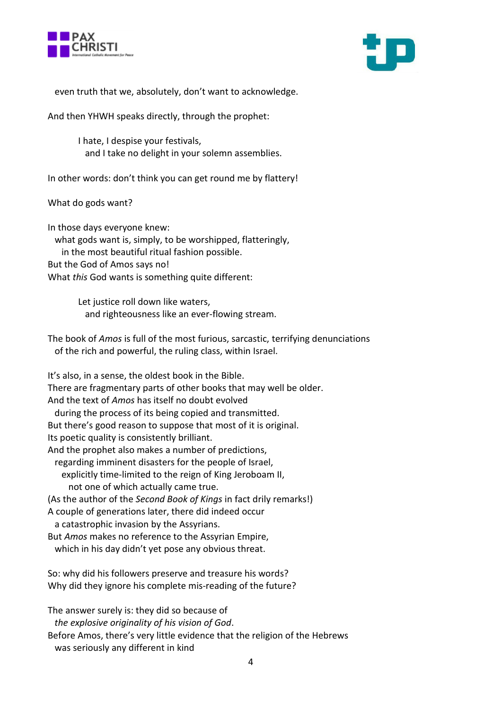



even truth that we, absolutely, don't want to acknowledge.

And then YHWH speaks directly, through the prophet:

I hate, I despise your festivals, and I take no delight in your solemn assemblies.

In other words: don't think you can get round me by flattery!

What do gods want?

In those days everyone knew: what gods want is, simply, to be worshipped, flatteringly, in the most beautiful ritual fashion possible. But the God of Amos says no! What *this* God wants is something quite different:

> Let justice roll down like waters. and righteousness like an ever-flowing stream.

The book of *Amos* is full of the most furious, sarcastic, terrifying denunciations of the rich and powerful, the ruling class, within Israel.

It's also, in a sense, the oldest book in the Bible. There are fragmentary parts of other books that may well be older. And the text of *Amos* has itself no doubt evolved during the process of its being copied and transmitted. But there's good reason to suppose that most of it is original. Its poetic quality is consistently brilliant. And the prophet also makes a number of predictions, regarding imminent disasters for the people of Israel, explicitly time-limited to the reign of King Jeroboam II, not one of which actually came true. (As the author of the *Second Book of Kings* in fact drily remarks!) A couple of generations later, there did indeed occur a catastrophic invasion by the Assyrians. But *Amos* makes no reference to the Assyrian Empire, which in his day didn't yet pose any obvious threat. So: why did his followers preserve and treasure his words? Why did they ignore his complete mis-reading of the future?

The answer surely is: they did so because of *the explosive originality of his vision of God*. Before Amos, there's very little evidence that the religion of the Hebrews was seriously any different in kind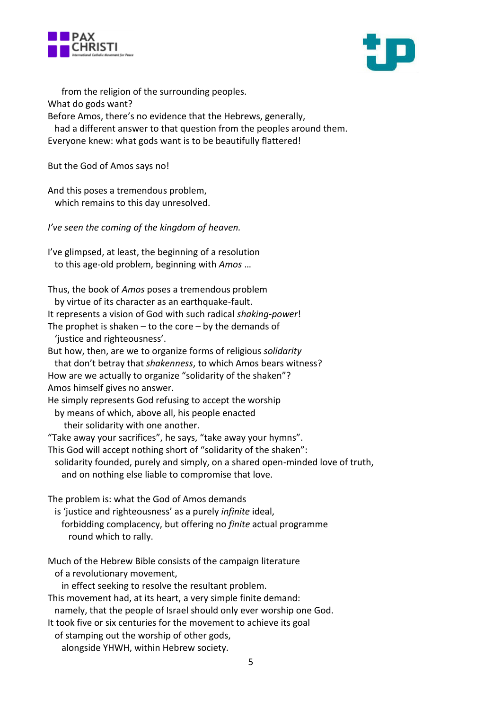



 from the religion of the surrounding peoples. What do gods want? Before Amos, there's no evidence that the Hebrews, generally, had a different answer to that question from the peoples around them. Everyone knew: what gods want is to be beautifully flattered!

But the God of Amos says no!

And this poses a tremendous problem, which remains to this day unresolved.

*I've seen the coming of the kingdom of heaven.* 

I've glimpsed, at least, the beginning of a resolution to this age-old problem, beginning with *Amos* …

Thus, the book of *Amos* poses a tremendous problem by virtue of its character as an earthquake-fault. It represents a vision of God with such radical *shaking-power*! The prophet is shaken  $-$  to the core  $-$  by the demands of 'justice and righteousness'. But how, then, are we to organize forms of religious *solidarity* that don't betray that *shakenness*, to which Amos bears witness? How are we actually to organize "solidarity of the shaken"? Amos himself gives no answer. He simply represents God refusing to accept the worship by means of which, above all, his people enacted their solidarity with one another. "Take away your sacrifices", he says, "take away your hymns". This God will accept nothing short of "solidarity of the shaken": solidarity founded, purely and simply, on a shared open-minded love of truth, and on nothing else liable to compromise that love. The problem is: what the God of Amos demands is 'justice and righteousness' as a purely *infinite* ideal, forbidding complacency, but offering no *finite* actual programme round which to rally. Much of the Hebrew Bible consists of the campaign literature of a revolutionary movement, in effect seeking to resolve the resultant problem. This movement had, at its heart, a very simple finite demand: namely, that the people of Israel should only ever worship one God. It took five or six centuries for the movement to achieve its goal of stamping out the worship of other gods, alongside YHWH, within Hebrew society.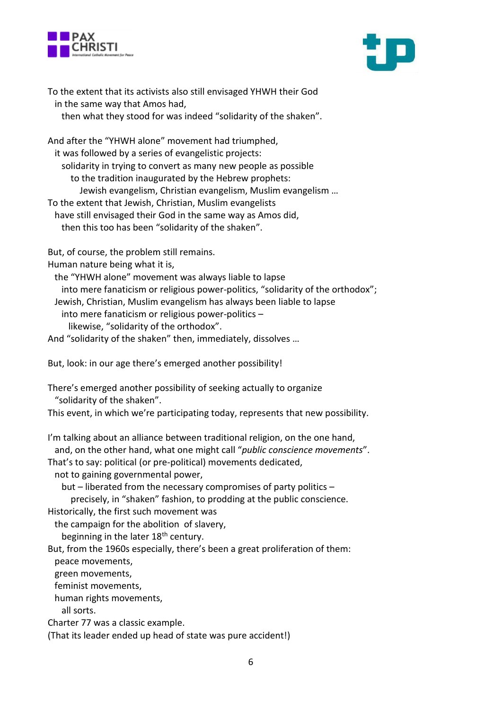



To the extent that its activists also still envisaged YHWH their God in the same way that Amos had,

then what they stood for was indeed "solidarity of the shaken".

And after the "YHWH alone" movement had triumphed, it was followed by a series of evangelistic projects: solidarity in trying to convert as many new people as possible to the tradition inaugurated by the Hebrew prophets: Jewish evangelism, Christian evangelism, Muslim evangelism … To the extent that Jewish, Christian, Muslim evangelists have still envisaged their God in the same way as Amos did, then this too has been "solidarity of the shaken".

But, of course, the problem still remains.

Human nature being what it is,

 the "YHWH alone" movement was always liable to lapse into mere fanaticism or religious power-politics, "solidarity of the orthodox"; Jewish, Christian, Muslim evangelism has always been liable to lapse into mere fanaticism or religious power-politics – likewise, "solidarity of the orthodox". And "solidarity of the shaken" then, immediately, dissolves …

But, look: in our age there's emerged another possibility!

There's emerged another possibility of seeking actually to organize "solidarity of the shaken".

This event, in which we're participating today, represents that new possibility.

I'm talking about an alliance between traditional religion, on the one hand, and, on the other hand, what one might call "*public conscience movements*". That's to say: political (or pre-political) movements dedicated, not to gaining governmental power, but – liberated from the necessary compromises of party politics – precisely, in "shaken" fashion, to prodding at the public conscience. Historically, the first such movement was the campaign for the abolition of slavery, beginning in the later 18<sup>th</sup> century. But, from the 1960s especially, there's been a great proliferation of them: peace movements, green movements, feminist movements, human rights movements, all sorts. Charter 77 was a classic example. (That its leader ended up head of state was pure accident!)